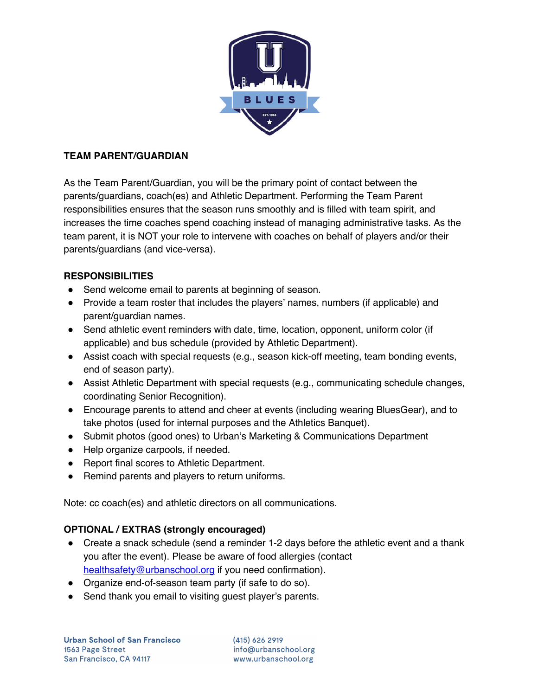

# **TEAM PARENT/GUARDIAN**

As the Team Parent/Guardian, you will be the primary point of contact between the parents/guardians, coach(es) and Athletic Department. Performing the Team Parent responsibilities ensures that the season runs smoothly and is filled with team spirit, and increases the time coaches spend coaching instead of managing administrative tasks. As the team parent, it is NOT your role to intervene with coaches on behalf of players and/or their parents/guardians (and vice-versa).

# **RESPONSIBILITIES**

- Send welcome email to parents at beginning of season.
- Provide a team roster that includes the players' names, numbers (if applicable) and parent/guardian names.
- Send athletic event reminders with date, time, location, opponent, uniform color (if applicable) and bus schedule (provided by Athletic Department).
- Assist coach with special requests (e.g., season kick-off meeting, team bonding events, end of season party).
- Assist Athletic Department with special requests (e.g., communicating schedule changes, coordinating Senior Recognition).
- Encourage parents to attend and cheer at events (including wearing BluesGear), and to take photos (used for internal purposes and the Athletics Banquet).
- Submit photos (good ones) to Urban's Marketing & Communications Department
- Help organize carpools, if needed.
- Report final scores to Athletic Department.
- Remind parents and players to return uniforms.

Note: cc coach(es) and athletic directors on all communications.

## **OPTIONAL / EXTRAS (strongly encouraged)**

- Create a snack schedule (send a reminder 1-2 days before the athletic event and a thank you after the event). Please be aware of food allergies (contact healthsafety@urbanschool.org if you need confirmation).
- Organize end-of-season team party (if safe to do so).
- Send thank you email to visiting guest player's parents.

 $(415)$  626 2919 info@urbanschool.org www.urbanschool.org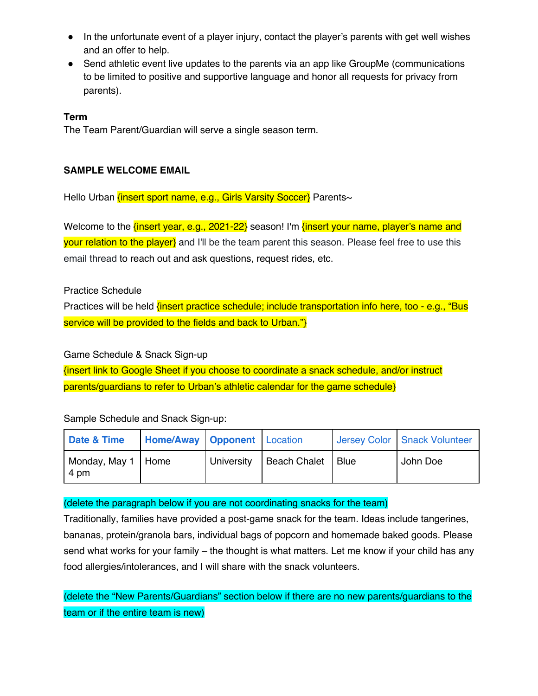- In the unfortunate event of a player injury, contact the player's parents with get well wishes and an offer to help.
- Send athletic event live updates to the parents via an app like GroupMe (communications to be limited to positive and supportive language and honor all requests for privacy from parents).

### **Term**

The Team Parent/Guardian will serve a single season term.

#### **SAMPLE WELCOME EMAIL**

Hello Urban {insert sport name, e.g., Girls Varsity Soccer} Parents~

Welcome to the {insert year, e.g., 2021-22} season! I'm {insert your name, player's name and your relation to the player} and I'll be the team parent this season. Please feel free to use this email thread to reach out and ask questions, request rides, etc.

Practice Schedule

Practices will be held *{insert practice schedule; include transportation info here, too - e.g., "Bus* service will be provided to the fields and back to Urban."}

Game Schedule & Snack Sign-up

{insert link to Google Sheet if you choose to coordinate a snack schedule, and/or instruct parents/guardians to refer to Urban's athletic calendar for the game schedule}

Sample Schedule and Snack Sign-up:

| Date & Time                  | Home/Away Opponent Location |            |                     |        | Jersey Color Snack Volunteer |
|------------------------------|-----------------------------|------------|---------------------|--------|------------------------------|
| Monday, May 1   Home<br>4 pm |                             | University | <b>Beach Chalet</b> | ∣ Blue | John Doe                     |

### (delete the paragraph below if you are not coordinating snacks for the team)

Traditionally, families have provided a post-game snack for the team. Ideas include tangerines, bananas, protein/granola bars, individual bags of popcorn and homemade baked goods. Please send what works for your family – the thought is what matters. Let me know if your child has any food allergies/intolerances, and I will share with the snack volunteers.

(delete the "New Parents/Guardians" section below if there are no new parents/guardians to the team or if the entire team is new)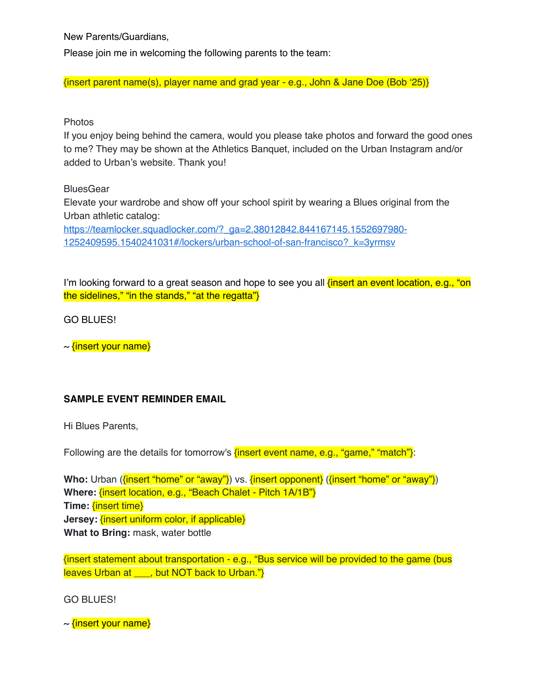New Parents/Guardians,

Please join me in welcoming the following parents to the team:

{insert parent name(s), player name and grad year - e.g., John & Jane Doe (Bob '25)}

### Photos

If you enjoy being behind the camera, would you please take photos and forward the good ones to me? They may be shown at the Athletics Banquet, included on the Urban Instagram and/or added to Urban's website. Thank you!

### **BluesGear**

Elevate your wardrobe and show off your school spirit by wearing a Blues original from the Urban athletic catalog:

https://teamlocker.squadlocker.com/?\_ga=2.38012842.844167145.1552697980-1252409595.1540241031#/lockers/urban-school-of-san-francisco?\_k=3yrmsv

I'm looking forward to a great season and hope to see you all *finsert an event location, e.g., "on* the sidelines," "in the stands," "at the regatta"}

GO BLUES!

 $\sim$  {insert your name}

## **SAMPLE EVENT REMINDER EMAIL**

Hi Blues Parents,

Following are the details for tomorrow's {insert event name, e.g., "game," "match"}:

**Who:** Urban (*{insert "home" or "away"}*) vs. *{insert opponent}* (*{insert "home" or "away"}*) **Where:** {insert location, e.g., "Beach Chalet - Pitch 1A/1B"} **Time:** {insert time} **Jersey:** {insert uniform color, if applicable} **What to Bring:** mask, water bottle

{insert statement about transportation - e.g., "Bus service will be provided to the game (bus leaves Urban at \_\_\_, but NOT back to Urban."}

GO BLUES!

 $\sim$  {insert your name}